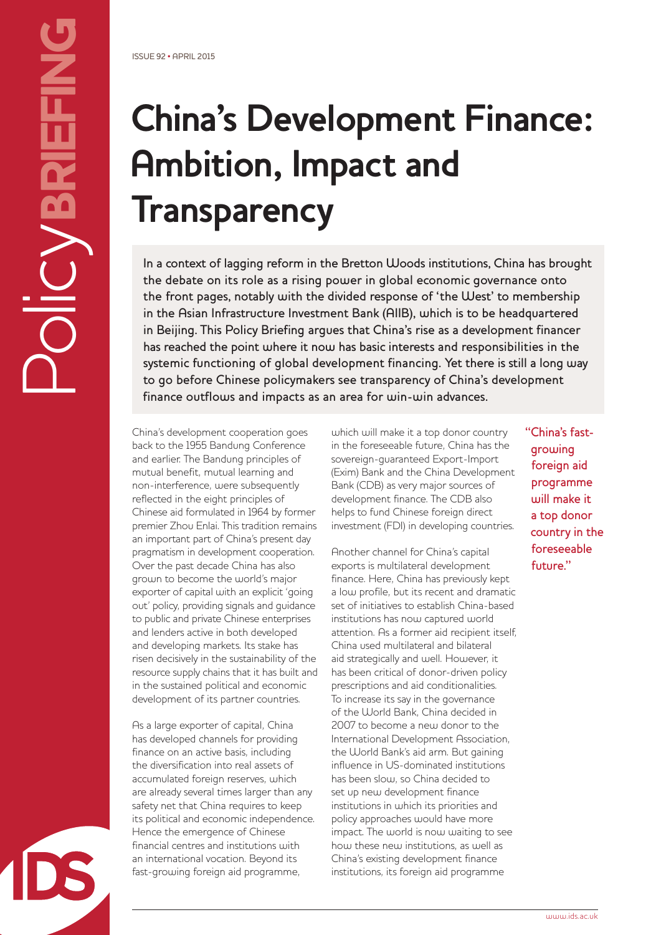# **China's Development Finance: Ambition, Impact and Transparency**

In a context of lagging reform in the Bretton Woods institutions, China has brought the debate on its role as a rising power in global economic governance onto the front pages, notably with the divided response of 'the West' to membership in the Asian Infrastructure Investment Bank (AIIB), which is to be headquartered in Beijing. This Policy Briefing argues that China's rise as a development financer has reached the point where it now has basic interests and responsibilities in the systemic functioning of global development financing. Yet there is still a long way to go before Chinese policymakers see transparency of China's development finance outflows and impacts as an area for win-win advances.

China's development cooperation goes back to the 1955 Bandung Conference and earlier. The Bandung principles of mutual benefit, mutual learning and non-interference, were subsequently reflected in the eight principles of Chinese aid formulated in 1964 by former premier Zhou Enlai. This tradition remains an important part of China's present day pragmatism in development cooperation. Over the past decade China has also grown to become the world's major exporter of capital with an explicit 'going out' policy, providing signals and guidance to public and private Chinese enterprises and lenders active in both developed and developing markets. Its stake has risen decisively in the sustainability of the resource supply chains that it has built and in the sustained political and economic development of its partner countries.

As a large exporter of capital, China has developed channels for providing finance on an active basis, including the diversification into real assets of accumulated foreign reserves, which are already several times larger than any safety net that China requires to keep its political and economic independence. Hence the emergence of Chinese financial centres and institutions with an international vocation. Beyond its fast-growing foreign aid programme,

which will make it a top donor country in the foreseeable future, China has the sovereign-guaranteed Export-Import (Exim) Bank and the China Development Bank (CDB) as very major sources of development finance. The CDB also helps to fund Chinese foreign direct investment (FDI) in developing countries.

Another channel for China's capital exports is multilateral development finance. Here, China has previously kept a low profile, but its recent and dramatic set of initiatives to establish China-based institutions has now captured world attention. As a former aid recipient itself, China used multilateral and bilateral aid strategically and well. However, it has been critical of donor-driven policy prescriptions and aid conditionalities. To increase its say in the governance of the World Bank, China decided in 2007 to become a new donor to the International Development Association, the World Bank's aid arm. But gaining influence in US-dominated institutions has been slow, so China decided to set up new development finance institutions in which its priorities and policy approaches would have more impact. The world is now waiting to see how these new institutions, as well as China's existing development finance institutions, its foreign aid programme

"China's fastgrowing foreign aid programme will make it a top donor country in the foreseeable future."

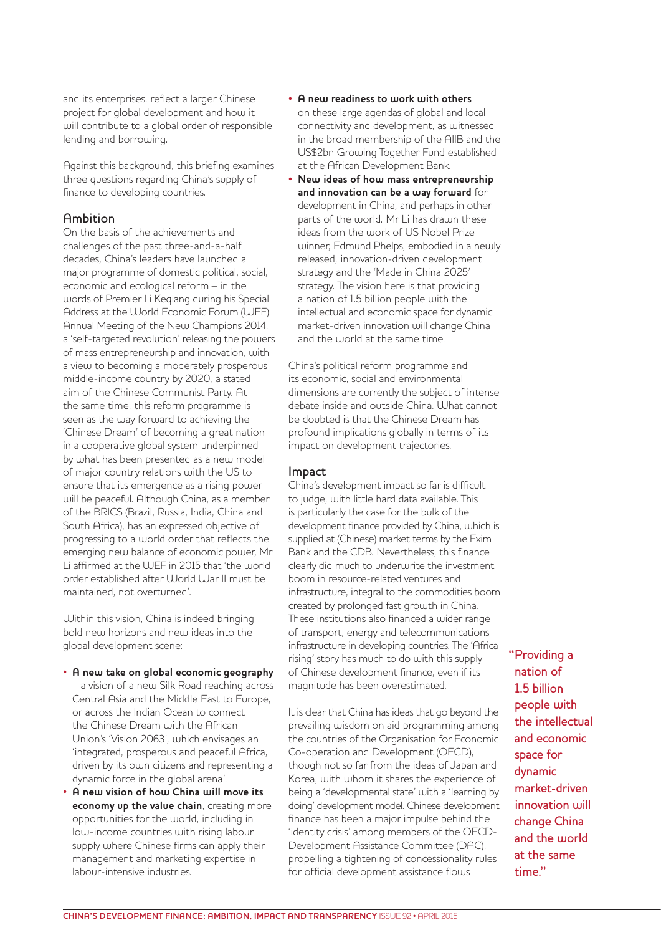and its enterprises, reflect a larger Chinese project for global development and how it will contribute to a global order of responsible lending and borrowing.

Against this background, this briefing examines three questions regarding China's supply of finance to developing countries.

# Ambition

On the basis of the achievements and challenges of the past three-and-a-half decades, China's leaders have launched a major programme of domestic political, social, economic and ecological reform – in the words of Premier Li Keqiang during his Special Address at the World Economic Forum (WEF) Annual Meeting of the New Champions 2014, a 'self-targeted revolution' releasing the powers of mass entrepreneurship and innovation, with a view to becoming a moderately prosperous middle-income country by 2020, a stated aim of the Chinese Communist Party. At the same time, this reform programme is seen as the way forward to achieving the 'Chinese Dream' of becoming a great nation in a cooperative global system underpinned by what has been presented as a new model of major country relations with the US to ensure that its emergence as a rising power will be peaceful. Although China, as a member of the BRICS (Brazil, Russia, India, China and South Africa), has an expressed objective of progressing to a world order that reflects the emerging new balance of economic power, Mr Li affirmed at the WEF in 2015 that 'the world order established after World War II must be maintained, not overturned'.

Within this vision, China is indeed bringing bold new horizons and new ideas into the global development scene:

#### • **A new take on global economic geography**

- a vision of a new Silk Road reaching across Central Asia and the Middle East to Europe, or across the Indian Ocean to connect the Chinese Dream with the African Union's 'Vision 2063', which envisages an 'integrated, prosperous and peaceful Africa, driven by its own citizens and representing a dynamic force in the global arena'.
- **A new vision of how China will move its economy up the value chain**, creating more opportunities for the world, including in low-income countries with rising labour supply where Chinese firms can apply their management and marketing expertise in labour-intensive industries.
- **A new readiness to work with others** on these large agendas of global and local connectivity and development, as witnessed in the broad membership of the AIIB and the US\$2bn Growing Together Fund established at the African Development Bank.
- **New ideas of how mass entrepreneurship and innovation can be a way forward** for development in China, and perhaps in other parts of the world. Mr Li has drawn these ideas from the work of US Nobel Prize winner, Edmund Phelps, embodied in a newly released, innovation-driven development strategy and the 'Made in China 2025' strategy. The vision here is that providing a nation of 1.5 billion people with the intellectual and economic space for dynamic market-driven innovation will change China and the world at the same time.

China's political reform programme and its economic, social and environmental dimensions are currently the subject of intense debate inside and outside China. What cannot be doubted is that the Chinese Dream has profound implications globally in terms of its impact on development trajectories.

# Impact

China's development impact so far is difficult to judge, with little hard data available. This is particularly the case for the bulk of the development finance provided by China, which is supplied at (Chinese) market terms by the Exim Bank and the CDB. Nevertheless, this finance clearly did much to underwrite the investment boom in resource-related ventures and infrastructure, integral to the commodities boom created by prolonged fast growth in China. These institutions also financed a wider range of transport, energy and telecommunications infrastructure in developing countries. The 'Africa rising' story has much to do with this supply of Chinese development finance, even if its magnitude has been overestimated.

It is clear that China has ideas that go beyond the prevailing wisdom on aid programming among the countries of the Organisation for Economic Co-operation and Development (OECD), though not so far from the ideas of Japan and Korea, with whom it shares the experience of being a 'developmental state' with a 'learning by doing' development model. Chinese development finance has been a major impulse behind the 'identity crisis' among members of the OECD-Development Assistance Committee (DAC), propelling a tightening of concessionality rules for official development assistance flows

"Providing a nation of 1.5 billion people with the intellectual and economic space for dynamic market-driven innovation will change China and the world at the same time."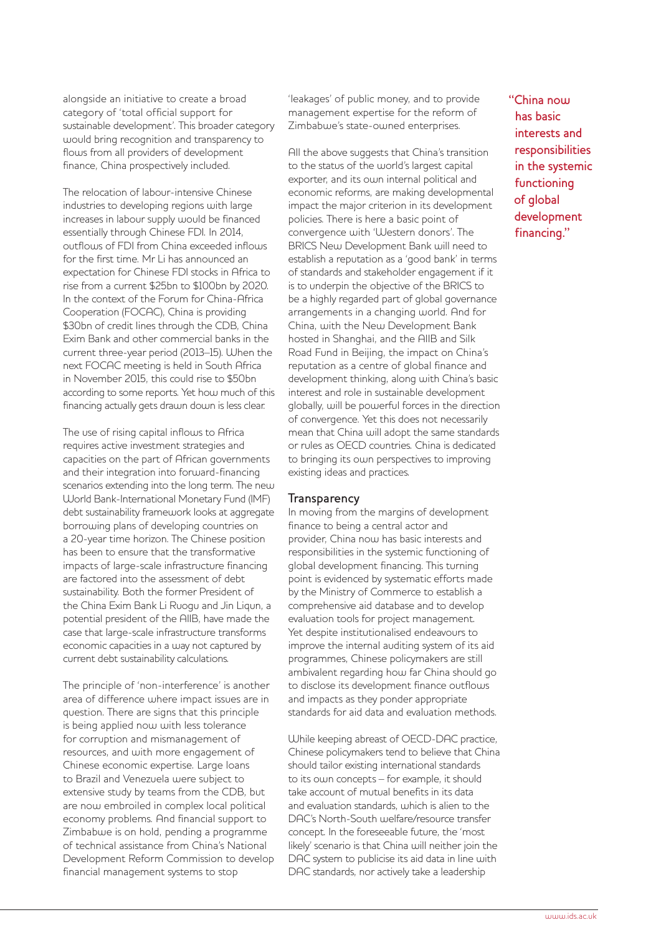alongside an initiative to create a broad category of 'total official support for sustainable development'. This broader category would bring recognition and transparency to flows from all providers of development finance, China prospectively included.

The relocation of labour-intensive Chinese industries to developing regions with large increases in labour supply would be financed essentially through Chinese FDI. In 2014, outflows of FDI from China exceeded inflows for the first time. Mr Li has announced an expectation for Chinese FDI stocks in Africa to rise from a current \$25bn to \$100bn by 2020. In the context of the Forum for China-Africa Cooperation (FOCAC), China is providing \$30bn of credit lines through the CDB, China Exim Bank and other commercial banks in the current three-year period (2013–15). When the next FOCAC meeting is held in South Africa in November 2015, this could rise to \$50bn according to some reports. Yet how much of this financing actually gets drawn down is less clear.

The use of rising capital inflows to Africa requires active investment strategies and capacities on the part of African governments and their integration into forward-financing scenarios extending into the long term. The new World Bank-International Monetary Fund (IMF) debt sustainability framework looks at aggregate borrowing plans of developing countries on a 20-year time horizon. The Chinese position has been to ensure that the transformative impacts of large-scale infrastructure financing are factored into the assessment of debt sustainability. Both the former President of the China Exim Bank Li Ruogu and Jin Liqun, a potential president of the AIIB, have made the case that large-scale infrastructure transforms economic capacities in a way not captured by current debt sustainability calculations.

The principle of 'non-interference' is another area of difference where impact issues are in question. There are signs that this principle is being applied now with less tolerance for corruption and mismanagement of resources, and with more engagement of Chinese economic expertise. Large loans to Brazil and Venezuela were subject to extensive study by teams from the CDB, but are now embroiled in complex local political economy problems. And financial support to Zimbabwe is on hold, pending a programme of technical assistance from China's National Development Reform Commission to develop financial management systems to stop

'leakages' of public money, and to provide management expertise for the reform of Zimbabwe's state-owned enterprises.

All the above suggests that China's transition to the status of the world's largest capital exporter, and its own internal political and economic reforms, are making developmental impact the major criterion in its development policies. There is here a basic point of convergence with 'Western donors'. The BRICS New Development Bank will need to establish a reputation as a 'good bank' in terms of standards and stakeholder engagement if it is to underpin the objective of the BRICS to be a highly regarded part of global governance arrangements in a changing world. And for China, with the New Development Bank hosted in Shanghai, and the AIIB and Silk Road Fund in Beijing, the impact on China's reputation as a centre of global finance and development thinking, along with China's basic interest and role in sustainable development globally, will be powerful forces in the direction of convergence. Yet this does not necessarily mean that China will adopt the same standards or rules as OECD countries. China is dedicated to bringing its own perspectives to improving existing ideas and practices.

#### **Transparency**

In moving from the margins of development finance to being a central actor and provider, China now has basic interests and responsibilities in the systemic functioning of global development financing. This turning point is evidenced by systematic efforts made by the Ministry of Commerce to establish a comprehensive aid database and to develop evaluation tools for project management. Yet despite institutionalised endeavours to improve the internal auditing system of its aid programmes, Chinese policymakers are still ambivalent regarding how far China should go to disclose its development finance outflows and impacts as they ponder appropriate standards for aid data and evaluation methods.

While keeping abreast of OECD-DAC practice, Chinese policymakers tend to believe that China should tailor existing international standards to its own concepts – for example, it should take account of mutual benefits in its data and evaluation standards, which is alien to the DAC's North-South welfare/resource transfer concept. In the foreseeable future, the 'most likely' scenario is that China will neither join the DAC system to publicise its aid data in line with DAC standards, nor actively take a leadership

"China now has basic interests and responsibilities in the systemic functioning of global development financing."